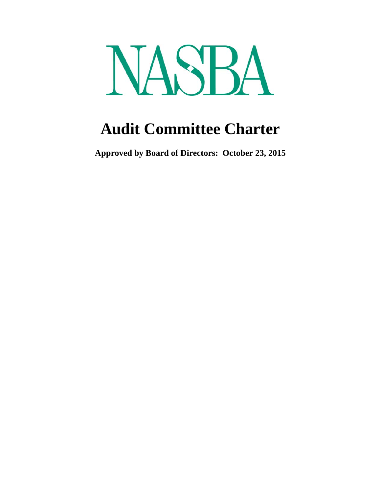

# **Audit Committee Charter**

**Approved by Board of Directors: October 23, 2015**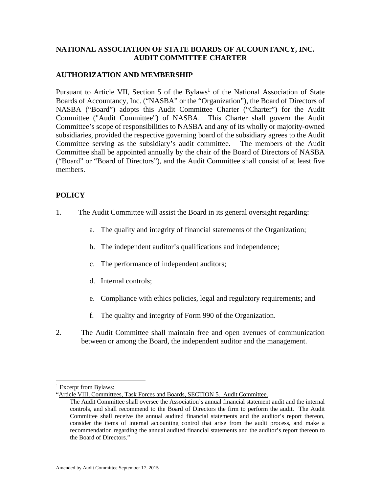## **NATIONAL ASSOCIATION OF STATE BOARDS OF ACCOUNTANCY, INC. AUDIT COMMITTEE CHARTER**

## **AUTHORIZATION AND MEMBERSHIP**

Pursuant to Article VII, Section 5 of the Bylaws<sup>1</sup> of the National Association of State Boards of Accountancy, Inc. ("NASBA" or the "Organization"), the Board of Directors of NASBA ("Board") adopts this Audit Committee Charter ("Charter") for the Audit Committee ("Audit Committee") of NASBA. This Charter shall govern the Audit Committee's scope of responsibilities to NASBA and any of its wholly or majority-owned subsidiaries, provided the respective governing board of the subsidiary agrees to the Audit Committee serving as the subsidiary's audit committee. The members of the Audit Committee shall be appointed annually by the chair of the Board of Directors of NASBA ("Board" or "Board of Directors"), and the Audit Committee shall consist of at least five members.

# **POLICY**

- 1. The Audit Committee will assist the Board in its general oversight regarding:
	- a. The quality and integrity of financial statements of the Organization;
	- b. The independent auditor's qualifications and independence;
	- c. The performance of independent auditors;
	- d. Internal controls;
	- e. Compliance with ethics policies, legal and regulatory requirements; and
	- f. The quality and integrity of Form 990 of the Organization.
- 2. The Audit Committee shall maintain free and open avenues of communication between or among the Board, the independent auditor and the management.

l

<sup>&</sup>lt;sup>1</sup> Excerpt from Bylaws:

<sup>&</sup>quot;Article VIII, Committees, Task Forces and Boards, SECTION 5. Audit Committee.

The Audit Committee shall oversee the Association's annual financial statement audit and the internal controls, and shall recommend to the Board of Directors the firm to perform the audit. The Audit Committee shall receive the annual audited financial statements and the auditor's report thereon, consider the items of internal accounting control that arise from the audit process, and make a recommendation regarding the annual audited financial statements and the auditor's report thereon to the Board of Directors."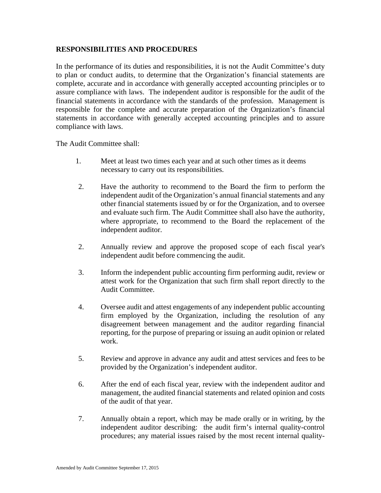#### **RESPONSIBILITIES AND PROCEDURES**

In the performance of its duties and responsibilities, it is not the Audit Committee's duty to plan or conduct audits, to determine that the Organization's financial statements are complete, accurate and in accordance with generally accepted accounting principles or to assure compliance with laws. The independent auditor is responsible for the audit of the financial statements in accordance with the standards of the profession. Management is responsible for the complete and accurate preparation of the Organization's financial statements in accordance with generally accepted accounting principles and to assure compliance with laws.

The Audit Committee shall:

- 1. Meet at least two times each year and at such other times as it deems necessary to carry out its responsibilities.
- 2. Have the authority to recommend to the Board the firm to perform the independent audit of the Organization's annual financial statements and any other financial statements issued by or for the Organization, and to oversee and evaluate such firm. The Audit Committee shall also have the authority, where appropriate, to recommend to the Board the replacement of the independent auditor.
- 2. Annually review and approve the proposed scope of each fiscal year's independent audit before commencing the audit.
- 3. Inform the independent public accounting firm performing audit, review or attest work for the Organization that such firm shall report directly to the Audit Committee.
- 4. Oversee audit and attest engagements of any independent public accounting firm employed by the Organization, including the resolution of any disagreement between management and the auditor regarding financial reporting, for the purpose of preparing or issuing an audit opinion or related work.
- 5. Review and approve in advance any audit and attest services and fees to be provided by the Organization's independent auditor.
- 6. After the end of each fiscal year, review with the independent auditor and management, the audited financial statements and related opinion and costs of the audit of that year.
- 7. Annually obtain a report, which may be made orally or in writing, by the independent auditor describing: the audit firm's internal quality-control procedures; any material issues raised by the most recent internal quality-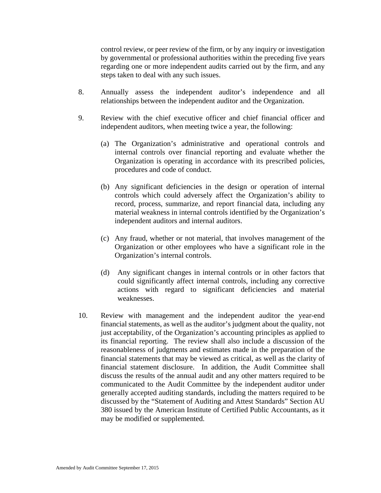control review, or peer review of the firm, or by any inquiry or investigation by governmental or professional authorities within the preceding five years regarding one or more independent audits carried out by the firm, and any steps taken to deal with any such issues.

- 8. Annually assess the independent auditor's independence and all relationships between the independent auditor and the Organization.
- 9. Review with the chief executive officer and chief financial officer and independent auditors, when meeting twice a year, the following:
	- (a) The Organization's administrative and operational controls and internal controls over financial reporting and evaluate whether the Organization is operating in accordance with its prescribed policies, procedures and code of conduct.
	- (b) Any significant deficiencies in the design or operation of internal controls which could adversely affect the Organization's ability to record, process, summarize, and report financial data, including any material weakness in internal controls identified by the Organization's independent auditors and internal auditors.
	- (c) Any fraud, whether or not material, that involves management of the Organization or other employees who have a significant role in the Organization's internal controls.
	- (d) Any significant changes in internal controls or in other factors that could significantly affect internal controls, including any corrective actions with regard to significant deficiencies and material weaknesses.
- 10. Review with management and the independent auditor the year-end financial statements, as well as the auditor's judgment about the quality, not just acceptability, of the Organization's accounting principles as applied to its financial reporting. The review shall also include a discussion of the reasonableness of judgments and estimates made in the preparation of the financial statements that may be viewed as critical, as well as the clarity of financial statement disclosure. In addition, the Audit Committee shall discuss the results of the annual audit and any other matters required to be communicated to the Audit Committee by the independent auditor under generally accepted auditing standards, including the matters required to be discussed by the "Statement of Auditing and Attest Standards" Section AU 380 issued by the American Institute of Certified Public Accountants, as it may be modified or supplemented.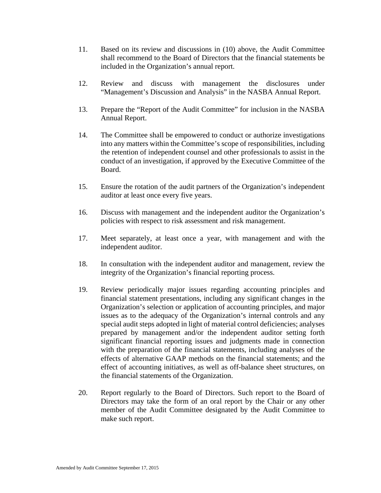- 11. Based on its review and discussions in (10) above, the Audit Committee shall recommend to the Board of Directors that the financial statements be included in the Organization's annual report.
- 12. Review and discuss with management the disclosures under "Management's Discussion and Analysis" in the NASBA Annual Report.
- 13. Prepare the "Report of the Audit Committee" for inclusion in the NASBA Annual Report.
- 14. The Committee shall be empowered to conduct or authorize investigations into any matters within the Committee's scope of responsibilities, including the retention of independent counsel and other professionals to assist in the conduct of an investigation, if approved by the Executive Committee of the Board.
- 15. Ensure the rotation of the audit partners of the Organization's independent auditor at least once every five years.
- 16. Discuss with management and the independent auditor the Organization's policies with respect to risk assessment and risk management.
- 17. Meet separately, at least once a year, with management and with the independent auditor.
- 18. In consultation with the independent auditor and management, review the integrity of the Organization's financial reporting process.
- 19. Review periodically major issues regarding accounting principles and financial statement presentations, including any significant changes in the Organization's selection or application of accounting principles, and major issues as to the adequacy of the Organization's internal controls and any special audit steps adopted in light of material control deficiencies; analyses prepared by management and/or the independent auditor setting forth significant financial reporting issues and judgments made in connection with the preparation of the financial statements, including analyses of the effects of alternative GAAP methods on the financial statements; and the effect of accounting initiatives, as well as off-balance sheet structures, on the financial statements of the Organization.
- 20. Report regularly to the Board of Directors. Such report to the Board of Directors may take the form of an oral report by the Chair or any other member of the Audit Committee designated by the Audit Committee to make such report.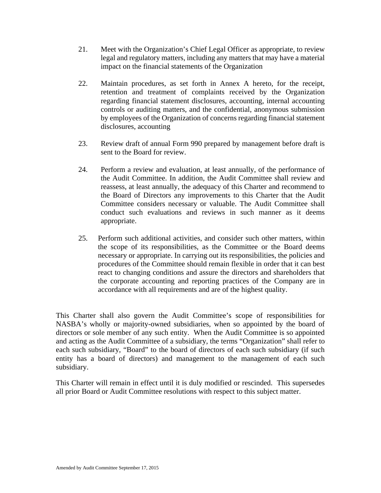- 21. Meet with the Organization's Chief Legal Officer as appropriate, to review legal and regulatory matters, including any matters that may have a material impact on the financial statements of the Organization
- 22. Maintain procedures, as set forth in Annex A hereto, for the receipt, retention and treatment of complaints received by the Organization regarding financial statement disclosures, accounting, internal accounting controls or auditing matters, and the confidential, anonymous submission by employees of the Organization of concerns regarding financial statement disclosures, accounting
- 23. Review draft of annual Form 990 prepared by management before draft is sent to the Board for review.
- 24. Perform a review and evaluation, at least annually, of the performance of the Audit Committee. In addition, the Audit Committee shall review and reassess, at least annually, the adequacy of this Charter and recommend to the Board of Directors any improvements to this Charter that the Audit Committee considers necessary or valuable. The Audit Committee shall conduct such evaluations and reviews in such manner as it deems appropriate.
- 25. Perform such additional activities, and consider such other matters, within the scope of its responsibilities, as the Committee or the Board deems necessary or appropriate. In carrying out its responsibilities, the policies and procedures of the Committee should remain flexible in order that it can best react to changing conditions and assure the directors and shareholders that the corporate accounting and reporting practices of the Company are in accordance with all requirements and are of the highest quality.

This Charter shall also govern the Audit Committee's scope of responsibilities for NASBA's wholly or majority-owned subsidiaries, when so appointed by the board of directors or sole member of any such entity. When the Audit Committee is so appointed and acting as the Audit Committee of a subsidiary, the terms "Organization" shall refer to each such subsidiary, "Board" to the board of directors of each such subsidiary (if such entity has a board of directors) and management to the management of each such subsidiary.

This Charter will remain in effect until it is duly modified or rescinded. This supersedes all prior Board or Audit Committee resolutions with respect to this subject matter.